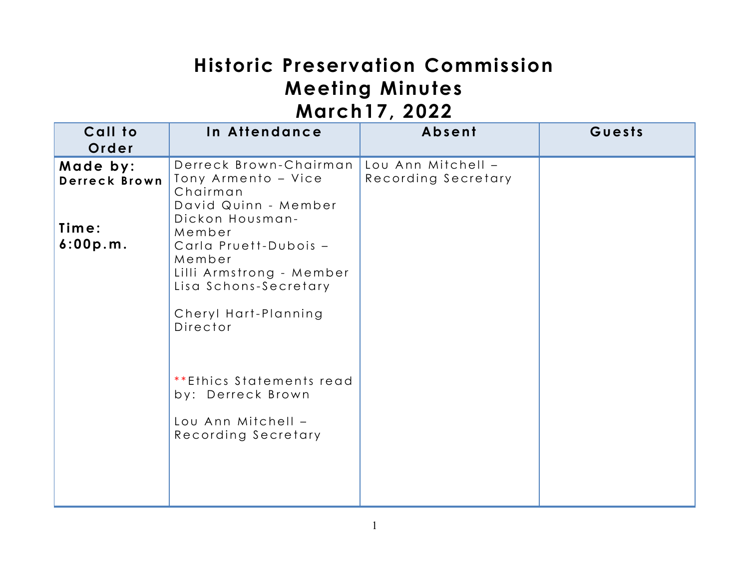# **Historic Preservation Commission Meeting Minutes March17, 2022**

| . <i>. .</i>              |                                                                                                                                                       |                                           |        |  |
|---------------------------|-------------------------------------------------------------------------------------------------------------------------------------------------------|-------------------------------------------|--------|--|
| Call to<br>Order          | In Attendance                                                                                                                                         | Absent                                    | Guests |  |
| Made by:<br>Derreck Brown | Derreck Brown-Chairman<br>Tony Armento - Vice<br>Chairman<br>David Quinn - Member                                                                     | Lou Ann Mitchell -<br>Recording Secretary |        |  |
| Time:<br>6:00p.m.         | Dickon Housman-<br>Member<br>Carla Pruett-Dubois -<br>Member<br>Lilli Armstrong - Member<br>Lisa Schons-Secretary<br>Cheryl Hart-Planning<br>Director |                                           |        |  |
|                           | **Ethics Statements read<br>by: Derreck Brown<br>Lou Ann Mitchell -<br>Recording Secretary                                                            |                                           |        |  |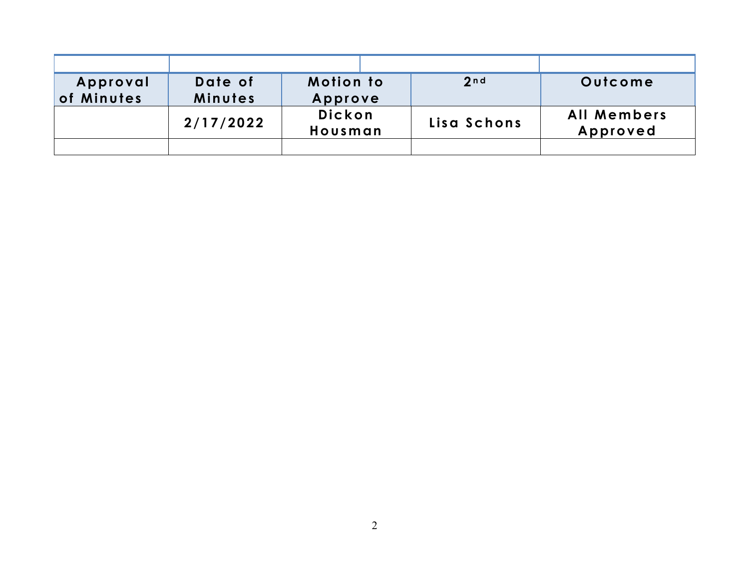| Approval<br>of Minutes | Date of<br>Minutes | <b>Motion to</b><br>Approve | 2 <sub>n d</sub> | Outcome                        |
|------------------------|--------------------|-----------------------------|------------------|--------------------------------|
|                        | 2/17/2022          | <b>Dickon</b><br>Housman    | Lisa Schons      | <b>All Members</b><br>Approved |
|                        |                    |                             |                  |                                |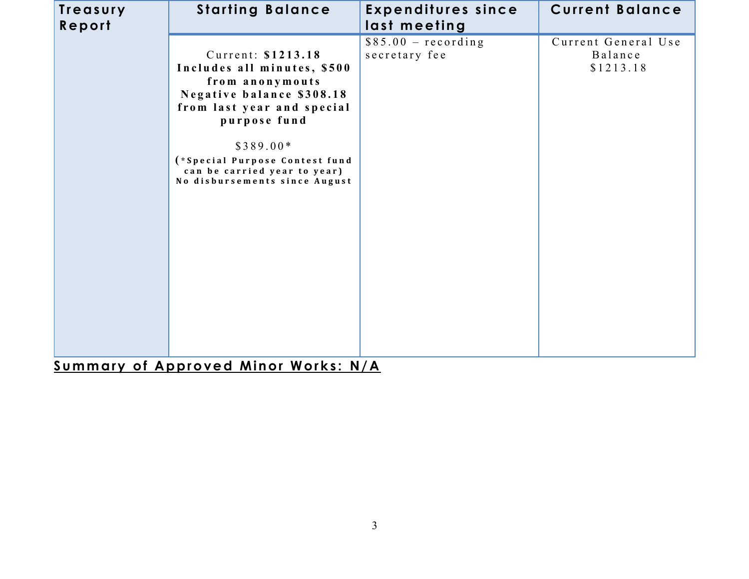| Treasury<br>Report | <b>Starting Balance</b>                                                                                                                                                                                                                                          | <b>Expenditures since</b><br>last meeting | <b>Current Balance</b>                      |
|--------------------|------------------------------------------------------------------------------------------------------------------------------------------------------------------------------------------------------------------------------------------------------------------|-------------------------------------------|---------------------------------------------|
|                    | Current: \$1213.18<br>Includes all minutes, \$500<br>from anonymouts<br>Negative balance \$308.18<br>from last year and special<br>purpose fund<br>$$389.00*$<br>(*Special Purpose Contest fund<br>can be carried year to year)<br>No disbursements since August | $$85.00 - recording$<br>secretary fee     | Current General Use<br>Balance<br>\$1213.18 |

**Summary of Approved Minor Works: N/A**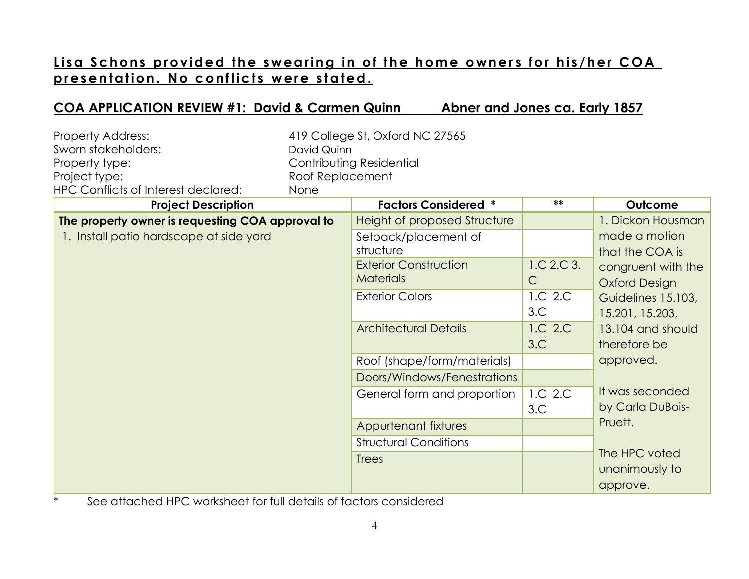## Lisa Schons provided the swearing in of the home owners for his/her COA **p r e s e n t at io n . No c o nf lic t s w er e s t a te d.**

#### **COA APPLICATION REVIEW #1: David & Carmen Quinn Abner and Jones ca. Early 1857**

| Property Address:<br>Sworn stakeholders:<br>Property type:<br>Project type:<br><b>HPC Conflicts of Interest declared:</b> | David Quinn<br>Roof Replacement<br>None | 419 College St, Oxford NC 27565<br>Contributing Residential                                                                                                                     |                                                         |                                                                                                                                                                   |
|---------------------------------------------------------------------------------------------------------------------------|-----------------------------------------|---------------------------------------------------------------------------------------------------------------------------------------------------------------------------------|---------------------------------------------------------|-------------------------------------------------------------------------------------------------------------------------------------------------------------------|
| <b>Project Description</b>                                                                                                |                                         | <b>Factors Considered *</b>                                                                                                                                                     | **                                                      | Outcome                                                                                                                                                           |
| The property owner is requesting COA approval to<br>1. Install patio hardscape at side yard                               |                                         | Height of proposed Structure<br>Setback/placement of<br>structure<br><b>Exterior Construction</b><br><b>Materials</b><br><b>Exterior Colors</b><br><b>Architectural Details</b> | 1.C.2.C.3.<br>$\mathsf{C}$<br>1.C 2.C<br>3.C<br>1.C 2.C | 1. Dickon Housman<br>made a motion<br>that the COA is<br>congruent with the<br><b>Oxford Design</b><br>Guidelines 15.103,<br>15.201, 15.203,<br>13.104 and should |
|                                                                                                                           |                                         | Roof (shape/form/materials)<br>Doors/Windows/Fenestrations<br>General form and proportion<br>Appurtenant fixtures<br><b>Structural Conditions</b>                               | 3.C<br>1.C 2.C<br>3.C                                   | therefore be<br>approved.<br>It was seconded<br>by Carla DuBois-<br>Pruett.                                                                                       |
|                                                                                                                           |                                         | <b>Trees</b>                                                                                                                                                                    |                                                         | The HPC voted<br>unanimously to<br>approve.                                                                                                                       |

\* See attached HPC worksheet for full details of factors considered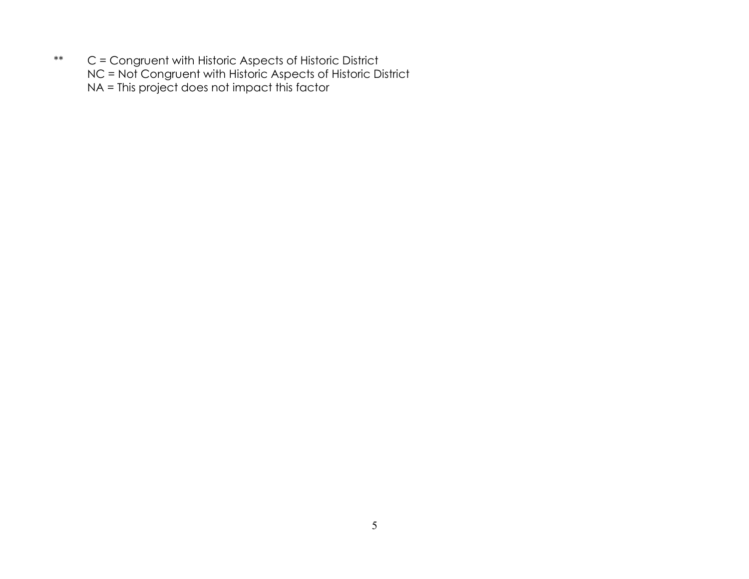\*\* C = Congruent with Historic Aspects of Historic District NC = Not Congruent with Historic Aspects of Historic District NA = This project does not impact this factor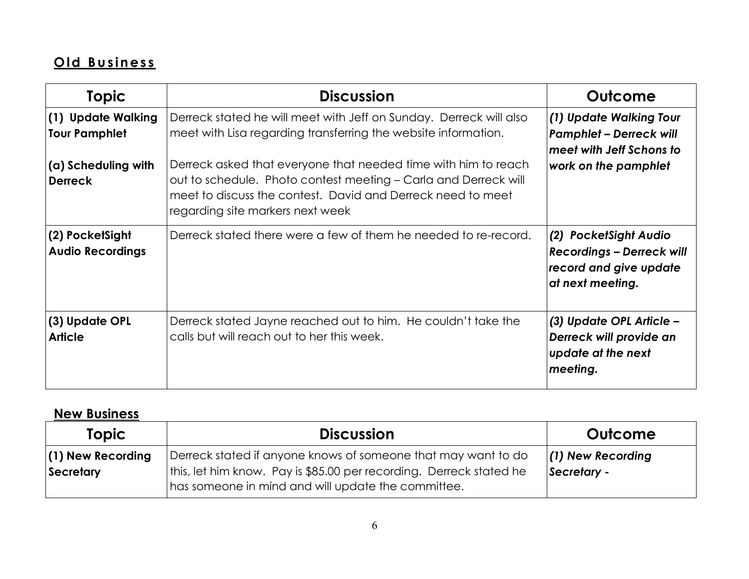# **O ld B u s in es s**

| <b>Topic</b>                               | <b>Discussion</b>                                                                                                                                                                                                                    | Outcome                                                                                                 |
|--------------------------------------------|--------------------------------------------------------------------------------------------------------------------------------------------------------------------------------------------------------------------------------------|---------------------------------------------------------------------------------------------------------|
| (1) Update Walking<br><b>Tour Pamphlet</b> | Derreck stated he will meet with Jeff on Sunday. Derreck will also<br>meet with Lisa regarding transferring the website information.                                                                                                 | (1) Update Walking Tour<br><b>Pamphlet - Derreck will</b><br>meet with Jeff Schons to                   |
| (a) Scheduling with<br><b>Derreck</b>      | Derreck asked that everyone that needed time with him to reach<br>out to schedule. Photo contest meeting – Carla and Derreck will<br>meet to discuss the contest. David and Derreck need to meet<br>regarding site markers next week | work on the pamphlet                                                                                    |
| (2) PocketSight<br><b>Audio Recordings</b> | Derreck stated there were a few of them he needed to re-record.                                                                                                                                                                      | (2) PocketSight Audio<br><b>Recordings - Derreck will</b><br>record and give update<br>at next meeting. |
| (3) Update OPL<br><b>Article</b>           | Derreck stated Jayne reached out to him. He couldn't take the<br>calls but will reach out to her this week.                                                                                                                          | (3) Update OPL Article –<br>Derreck will provide an<br>update at the next<br>meeting.                   |

### **New Business**

| <b>Topic</b>                     | <b>Discussion</b>                                                                                                                                                                          | Outcome                            |
|----------------------------------|--------------------------------------------------------------------------------------------------------------------------------------------------------------------------------------------|------------------------------------|
| $(1)$ New Recording<br>Secretary | Derreck stated if anyone knows of someone that may want to do<br>this, let him know. Pay is \$85.00 per recording. Derreck stated he<br>has someone in mind and will update the committee. | $(1)$ New Recording<br>Secretary - |